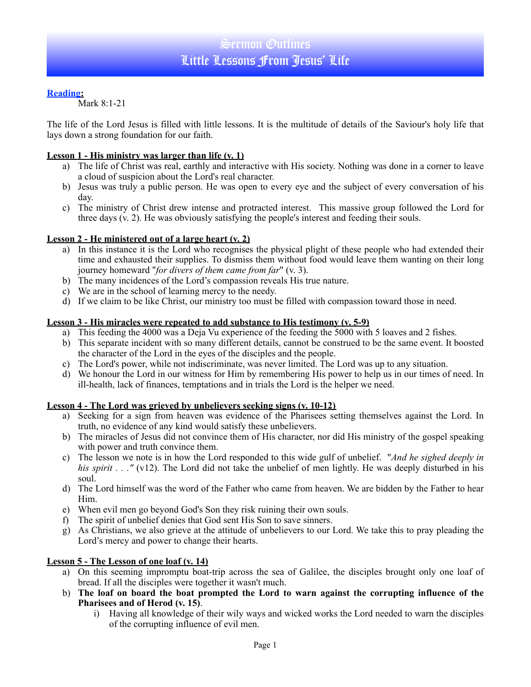# **Reading:**

Mark 8:1-21

The life of the Lord Jesus is filled with little lessons. It is the multitude of details of the Saviour's holy life that lays down a strong foundation for our faith.

# **Lesson 1 - His ministry was larger than life (v. 1)**

- a) The life of Christ was real, earthly and interactive with His society. Nothing was done in a corner to leave a cloud of suspicion about the Lord's real character.
- b) Jesus was truly a public person. He was open to every eye and the subject of every conversation of his day.
- c) The ministry of Christ drew intense and protracted interest. This massive group followed the Lord for three days (v. 2). He was obviously satisfying the people's interest and feeding their souls.

# **Lesson 2 - He ministered out of a large heart (v. 2)**

- a) In this instance it is the Lord who recognises the physical plight of these people who had extended their time and exhausted their supplies. To dismiss them without food would leave them wanting on their long journey homeward "*for divers of them came from far*" (v. 3).
- b) The many incidences of the Lord's compassion reveals His true nature.
- c) We are in the school of learning mercy to the needy.
- d) If we claim to be like Christ, our ministry too must be filled with compassion toward those in need.

#### **Lesson 3 - His miracles were repeated to add substance to His testimony (v. 5-9)**

- a) This feeding the 4000 was a Deja Vu experience of the feeding the 5000 with 5 loaves and 2 fishes.
- b) This separate incident with so many different details, cannot be construed to be the same event. It boosted the character of the Lord in the eyes of the disciples and the people.
- c) The Lord's power, while not indiscriminate, was never limited. The Lord was up to any situation.
- d) We honour the Lord in our witness for Him by remembering His power to help us in our times of need. In ill-health, lack of finances, temptations and in trials the Lord is the helper we need.

# **Lesson 4 - The Lord was grieved by unbelievers seeking signs (v. 10-12)**

- a) Seeking for a sign from heaven was evidence of the Pharisees setting themselves against the Lord. In truth, no evidence of any kind would satisfy these unbelievers.
- b) The miracles of Jesus did not convince them of His character, nor did His ministry of the gospel speaking with power and truth convince them.
- c) The lesson we note is in how the Lord responded to this wide gulf of unbelief. "*And he sighed deeply in his spirit . . ."* (v12). The Lord did not take the unbelief of men lightly. He was deeply disturbed in his soul.
- d) The Lord himself was the word of the Father who came from heaven. We are bidden by the Father to hear Him.
- e) When evil men go beyond God's Son they risk ruining their own souls.
- f) The spirit of unbelief denies that God sent His Son to save sinners.
- g) As Christians, we also grieve at the attitude of unbelievers to our Lord. We take this to pray pleading the Lord's mercy and power to change their hearts.

#### **Lesson 5 - The Lesson of one loaf (v. 14)**

- a) On this seeming impromptu boat-trip across the sea of Galilee, the disciples brought only one loaf of bread. If all the disciples were together it wasn't much.
- b) **The loaf on board the boat prompted the Lord to warn against the corrupting influence of the Pharisees and of Herod (v. 15)**.
	- i) Having all knowledge of their wily ways and wicked works the Lord needed to warn the disciples of the corrupting influence of evil men.